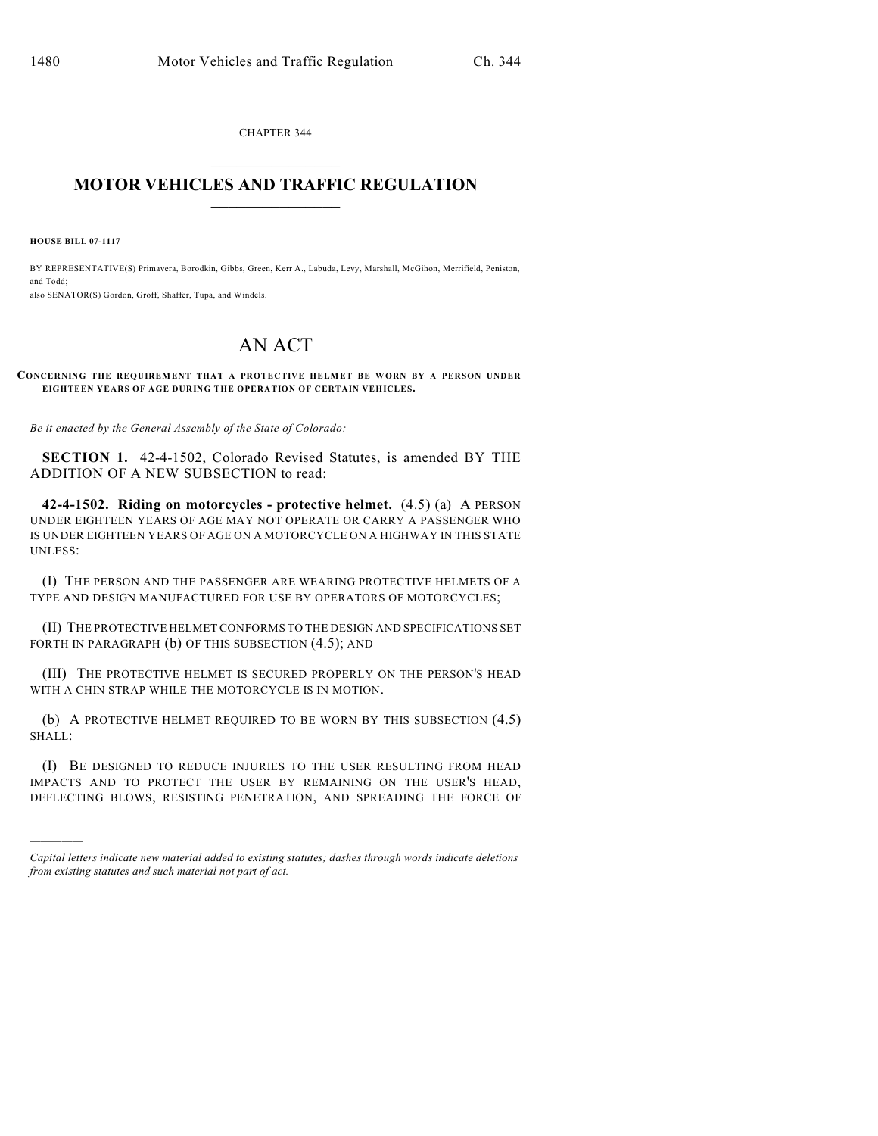CHAPTER 344  $\overline{\phantom{a}}$  . The set of the set of the set of the set of the set of the set of the set of the set of the set of the set of the set of the set of the set of the set of the set of the set of the set of the set of the set o

## **MOTOR VEHICLES AND TRAFFIC REGULATION**  $\frac{1}{2}$  ,  $\frac{1}{2}$  ,  $\frac{1}{2}$  ,  $\frac{1}{2}$  ,  $\frac{1}{2}$  ,  $\frac{1}{2}$  ,  $\frac{1}{2}$  ,  $\frac{1}{2}$

**HOUSE BILL 07-1117**

)))))

BY REPRESENTATIVE(S) Primavera, Borodkin, Gibbs, Green, Kerr A., Labuda, Levy, Marshall, McGihon, Merrifield, Peniston, and Todd; also SENATOR(S) Gordon, Groff, Shaffer, Tupa, and Windels.

## AN ACT

## **CONCERNING THE REQUIREMENT THAT A PROTECTIVE HELMET BE WORN BY A PERSON UNDER EIGHTEEN YEARS OF AGE DURING THE OPERATION OF CERTAIN VEHICLES.**

*Be it enacted by the General Assembly of the State of Colorado:*

**SECTION 1.** 42-4-1502, Colorado Revised Statutes, is amended BY THE ADDITION OF A NEW SUBSECTION to read:

**42-4-1502. Riding on motorcycles - protective helmet.** (4.5) (a) A PERSON UNDER EIGHTEEN YEARS OF AGE MAY NOT OPERATE OR CARRY A PASSENGER WHO IS UNDER EIGHTEEN YEARS OF AGE ON A MOTORCYCLE ON A HIGHWAY IN THIS STATE UNLESS:

(I) THE PERSON AND THE PASSENGER ARE WEARING PROTECTIVE HELMETS OF A TYPE AND DESIGN MANUFACTURED FOR USE BY OPERATORS OF MOTORCYCLES;

(II) THE PROTECTIVE HELMET CONFORMS TO THE DESIGN AND SPECIFICATIONS SET FORTH IN PARAGRAPH (b) OF THIS SUBSECTION  $(4.5)$ ; AND

(III) THE PROTECTIVE HELMET IS SECURED PROPERLY ON THE PERSON'S HEAD WITH A CHIN STRAP WHILE THE MOTORCYCLE IS IN MOTION.

(b) A PROTECTIVE HELMET REQUIRED TO BE WORN BY THIS SUBSECTION (4.5) SHALL:

(I) BE DESIGNED TO REDUCE INJURIES TO THE USER RESULTING FROM HEAD IMPACTS AND TO PROTECT THE USER BY REMAINING ON THE USER'S HEAD, DEFLECTING BLOWS, RESISTING PENETRATION, AND SPREADING THE FORCE OF

*Capital letters indicate new material added to existing statutes; dashes through words indicate deletions from existing statutes and such material not part of act.*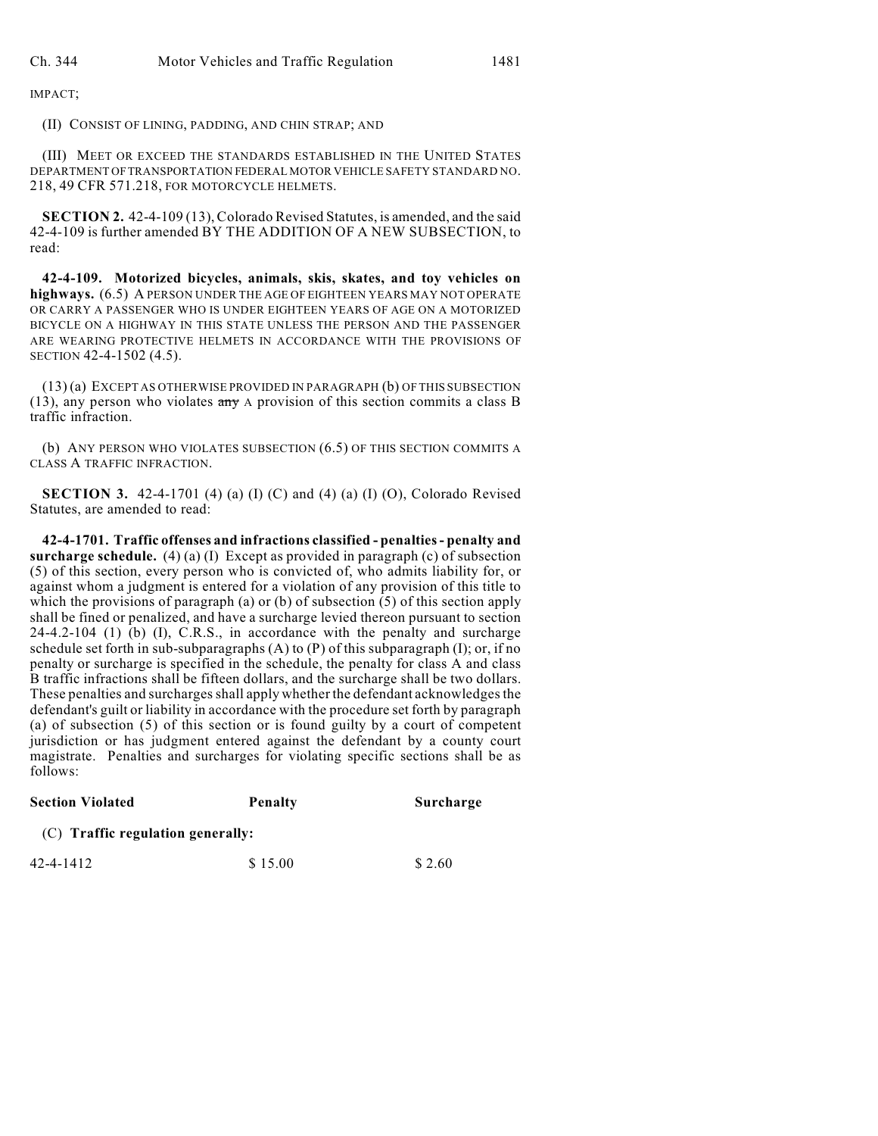IMPACT;

(II) CONSIST OF LINING, PADDING, AND CHIN STRAP; AND

(III) MEET OR EXCEED THE STANDARDS ESTABLISHED IN THE UNITED STATES DEPARTMENT OF TRANSPORTATION FEDERAL MOTOR VEHICLE SAFETY STANDARD NO. 218, 49 CFR 571.218, FOR MOTORCYCLE HELMETS.

**SECTION 2.** 42-4-109 (13), Colorado Revised Statutes, is amended, and the said 42-4-109 is further amended BY THE ADDITION OF A NEW SUBSECTION, to read:

**42-4-109. Motorized bicycles, animals, skis, skates, and toy vehicles on highways.** (6.5) A PERSON UNDER THE AGE OF EIGHTEEN YEARS MAY NOT OPERATE OR CARRY A PASSENGER WHO IS UNDER EIGHTEEN YEARS OF AGE ON A MOTORIZED BICYCLE ON A HIGHWAY IN THIS STATE UNLESS THE PERSON AND THE PASSENGER ARE WEARING PROTECTIVE HELMETS IN ACCORDANCE WITH THE PROVISIONS OF SECTION 42-4-1502 (4.5).

(13) (a) EXCEPT AS OTHERWISE PROVIDED IN PARAGRAPH (b) OF THIS SUBSECTION (13), any person who violates any A provision of this section commits a class B traffic infraction.

(b) ANY PERSON WHO VIOLATES SUBSECTION (6.5) OF THIS SECTION COMMITS A CLASS A TRAFFIC INFRACTION.

**SECTION 3.** 42-4-1701 (4) (a) (I) (C) and (4) (a) (I) (O), Colorado Revised Statutes, are amended to read:

**42-4-1701. Traffic offenses and infractions classified - penalties - penalty and surcharge schedule.** (4) (a) (I) Except as provided in paragraph (c) of subsection (5) of this section, every person who is convicted of, who admits liability for, or against whom a judgment is entered for a violation of any provision of this title to which the provisions of paragraph (a) or (b) of subsection (5) of this section apply shall be fined or penalized, and have a surcharge levied thereon pursuant to section 24-4.2-104 (1) (b) (I), C.R.S., in accordance with the penalty and surcharge schedule set forth in sub-subparagraphs  $(A)$  to  $(P)$  of this subparagraph  $(I)$ ; or, if no penalty or surcharge is specified in the schedule, the penalty for class A and class B traffic infractions shall be fifteen dollars, and the surcharge shall be two dollars. These penalties and surcharges shall apply whether the defendant acknowledges the defendant's guilt or liability in accordance with the procedure set forth by paragraph (a) of subsection (5) of this section or is found guilty by a court of competent jurisdiction or has judgment entered against the defendant by a county court magistrate. Penalties and surcharges for violating specific sections shall be as follows:

| <b>Section Violated</b>           | Penalty | Surcharge |  |  |  |
|-----------------------------------|---------|-----------|--|--|--|
| (C) Traffic regulation generally: |         |           |  |  |  |
| 42-4-1412                         | \$15.00 | \$2.60    |  |  |  |